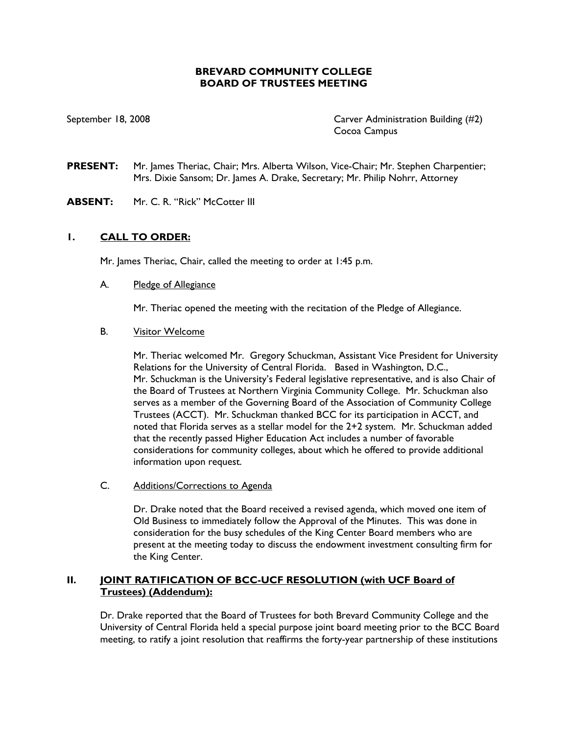## **BREVARD COMMUNITY COLLEGE BOARD OF TRUSTEES MEETING**

September 18, 2008 Carver Administration Building (#2) Cocoa Campus

**PRESENT:** Mr. James Theriac, Chair; Mrs. Alberta Wilson, Vice-Chair; Mr. Stephen Charpentier; Mrs. Dixie Sansom; Dr. James A. Drake, Secretary; Mr. Philip Nohrr, Attorney

**ABSENT:** Mr. C. R. "Rick" McCotter III

### **1. CALL TO ORDER:**

Mr. James Theriac, Chair, called the meeting to order at 1:45 p.m.

#### A. Pledge of Allegiance

Mr. Theriac opened the meeting with the recitation of the Pledge of Allegiance.

#### B. Visitor Welcome

Mr. Theriac welcomed Mr. Gregory Schuckman, Assistant Vice President for University Relations for the University of Central Florida. Based in Washington, D.C., Mr. Schuckman is the University's Federal legislative representative, and is also Chair of the Board of Trustees at Northern Virginia Community College. Mr. Schuckman also serves as a member of the Governing Board of the Association of Community College Trustees (ACCT). Mr. Schuckman thanked BCC for its participation in ACCT, and noted that Florida serves as a stellar model for the 2+2 system. Mr. Schuckman added that the recently passed Higher Education Act includes a number of favorable considerations for community colleges, about which he offered to provide additional information upon request.

#### C. Additions/Corrections to Agenda

Dr. Drake noted that the Board received a revised agenda, which moved one item of Old Business to immediately follow the Approval of the Minutes. This was done in consideration for the busy schedules of the King Center Board members who are present at the meeting today to discuss the endowment investment consulting firm for the King Center.

### **II. JOINT RATIFICATION OF BCC-UCF RESOLUTION (with UCF Board of Trustees) (Addendum):**

Dr. Drake reported that the Board of Trustees for both Brevard Community College and the University of Central Florida held a special purpose joint board meeting prior to the BCC Board meeting, to ratify a joint resolution that reaffirms the forty-year partnership of these institutions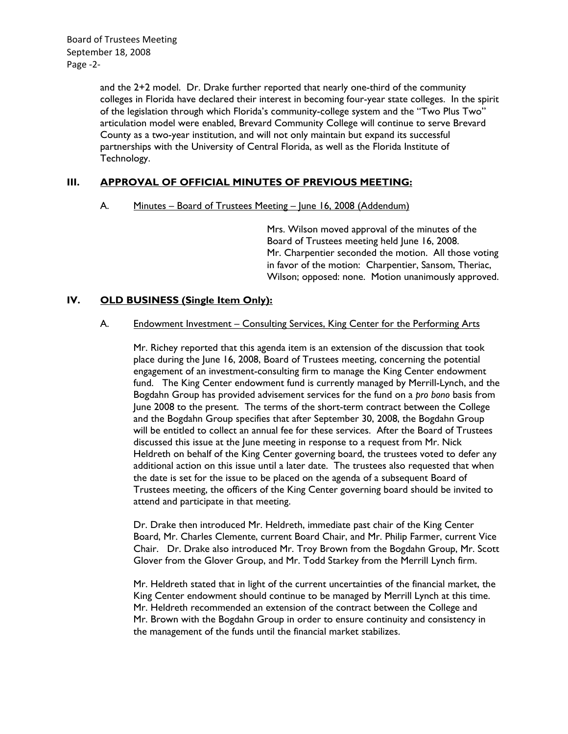and the 2+2 model. Dr. Drake further reported that nearly one-third of the community colleges in Florida have declared their interest in becoming four-year state colleges. In the spirit of the legislation through which Florida's community-college system and the "Two Plus Two" articulation model were enabled, Brevard Community College will continue to serve Brevard County as a two-year institution, and will not only maintain but expand its successful partnerships with the University of Central Florida, as well as the Florida Institute of Technology.

## **III. APPROVAL OF OFFICIAL MINUTES OF PREVIOUS MEETING:**

### A. Minutes – Board of Trustees Meeting – June 16, 2008 (Addendum)

Mrs. Wilson moved approval of the minutes of the Board of Trustees meeting held June 16, 2008. Mr. Charpentier seconded the motion. All those voting in favor of the motion: Charpentier, Sansom, Theriac, Wilson; opposed: none. Motion unanimously approved.

## **IV. OLD BUSINESS (Single Item Only):**

#### A. Endowment Investment - Consulting Services, King Center for the Performing Arts

Mr. Richey reported that this agenda item is an extension of the discussion that took place during the June 16, 2008, Board of Trustees meeting, concerning the potential engagement of an investment-consulting firm to manage the King Center endowment fund. The King Center endowment fund is currently managed by Merrill-Lynch, and the Bogdahn Group has provided advisement services for the fund on a *pro bono* basis from June 2008 to the present. The terms of the short-term contract between the College and the Bogdahn Group specifies that after September 30, 2008, the Bogdahn Group will be entitled to collect an annual fee for these services. After the Board of Trustees discussed this issue at the June meeting in response to a request from Mr. Nick Heldreth on behalf of the King Center governing board, the trustees voted to defer any additional action on this issue until a later date. The trustees also requested that when the date is set for the issue to be placed on the agenda of a subsequent Board of Trustees meeting, the officers of the King Center governing board should be invited to attend and participate in that meeting.

Dr. Drake then introduced Mr. Heldreth, immediate past chair of the King Center Board, Mr. Charles Clemente, current Board Chair, and Mr. Philip Farmer, current Vice Chair. Dr. Drake also introduced Mr. Troy Brown from the Bogdahn Group, Mr. Scott Glover from the Glover Group, and Mr. Todd Starkey from the Merrill Lynch firm.

Mr. Heldreth stated that in light of the current uncertainties of the financial market, the King Center endowment should continue to be managed by Merrill Lynch at this time. Mr. Heldreth recommended an extension of the contract between the College and Mr. Brown with the Bogdahn Group in order to ensure continuity and consistency in the management of the funds until the financial market stabilizes.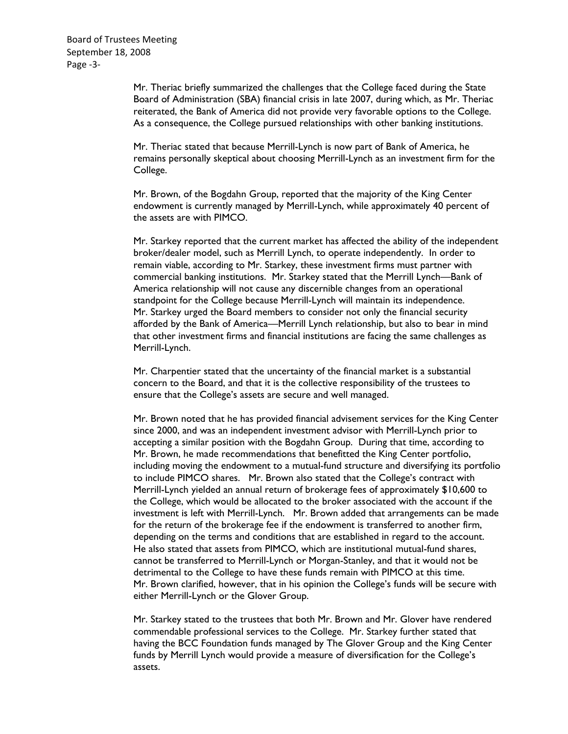Board of Trustees Meeting September 18, 2008 Page ‐3‐

> Mr. Theriac briefly summarized the challenges that the College faced during the State Board of Administration (SBA) financial crisis in late 2007, during which, as Mr. Theriac reiterated, the Bank of America did not provide very favorable options to the College. As a consequence, the College pursued relationships with other banking institutions.

> Mr. Theriac stated that because Merrill-Lynch is now part of Bank of America, he remains personally skeptical about choosing Merrill-Lynch as an investment firm for the College.

Mr. Brown, of the Bogdahn Group, reported that the majority of the King Center endowment is currently managed by Merrill-Lynch, while approximately 40 percent of the assets are with PIMCO.

Mr. Starkey reported that the current market has affected the ability of the independent broker/dealer model, such as Merrill Lynch, to operate independently. In order to remain viable, according to Mr. Starkey, these investment firms must partner with commercial banking institutions. Mr. Starkey stated that the Merrill Lynch—Bank of America relationship will not cause any discernible changes from an operational standpoint for the College because Merrill-Lynch will maintain its independence. Mr. Starkey urged the Board members to consider not only the financial security afforded by the Bank of America—Merrill Lynch relationship, but also to bear in mind that other investment firms and financial institutions are facing the same challenges as Merrill-Lynch.

Mr. Charpentier stated that the uncertainty of the financial market is a substantial concern to the Board, and that it is the collective responsibility of the trustees to ensure that the College's assets are secure and well managed.

Mr. Brown noted that he has provided financial advisement services for the King Center since 2000, and was an independent investment advisor with Merrill-Lynch prior to accepting a similar position with the Bogdahn Group. During that time, according to Mr. Brown, he made recommendations that benefitted the King Center portfolio, including moving the endowment to a mutual-fund structure and diversifying its portfolio to include PIMCO shares. Mr. Brown also stated that the College's contract with Merrill-Lynch yielded an annual return of brokerage fees of approximately \$10,600 to the College, which would be allocated to the broker associated with the account if the investment is left with Merrill-Lynch. Mr. Brown added that arrangements can be made for the return of the brokerage fee if the endowment is transferred to another firm, depending on the terms and conditions that are established in regard to the account. He also stated that assets from PIMCO, which are institutional mutual-fund shares, cannot be transferred to Merrill-Lynch or Morgan-Stanley, and that it would not be detrimental to the College to have these funds remain with PIMCO at this time. Mr. Brown clarified, however, that in his opinion the College's funds will be secure with either Merrill-Lynch or the Glover Group.

Mr. Starkey stated to the trustees that both Mr. Brown and Mr. Glover have rendered commendable professional services to the College. Mr. Starkey further stated that having the BCC Foundation funds managed by The Glover Group and the King Center funds by Merrill Lynch would provide a measure of diversification for the College's assets.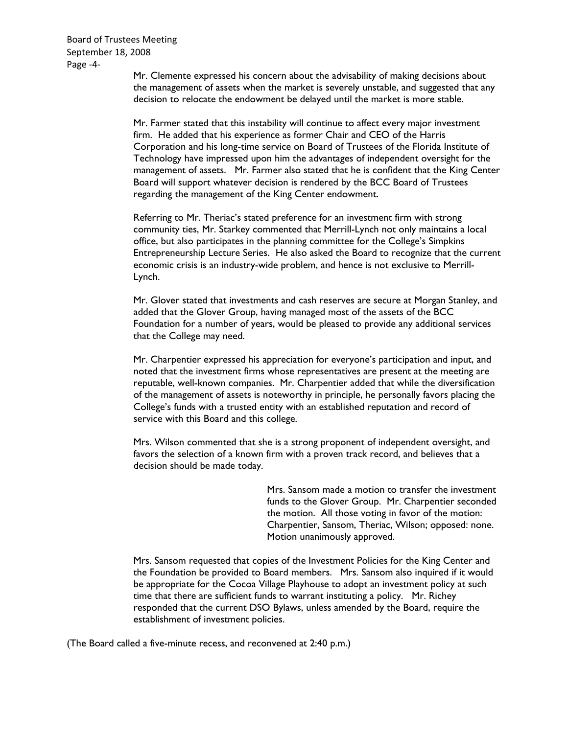Board of Trustees Meeting September 18, 2008 Page ‐4‐

> Mr. Clemente expressed his concern about the advisability of making decisions about the management of assets when the market is severely unstable, and suggested that any decision to relocate the endowment be delayed until the market is more stable.

Mr. Farmer stated that this instability will continue to affect every major investment firm. He added that his experience as former Chair and CEO of the Harris Corporation and his long-time service on Board of Trustees of the Florida Institute of Technology have impressed upon him the advantages of independent oversight for the management of assets. Mr. Farmer also stated that he is confident that the King Center Board will support whatever decision is rendered by the BCC Board of Trustees regarding the management of the King Center endowment.

Referring to Mr. Theriac's stated preference for an investment firm with strong community ties, Mr. Starkey commented that Merrill-Lynch not only maintains a local office, but also participates in the planning committee for the College's Simpkins Entrepreneurship Lecture Series. He also asked the Board to recognize that the current economic crisis is an industry-wide problem, and hence is not exclusive to Merrill-Lynch.

Mr. Glover stated that investments and cash reserves are secure at Morgan Stanley, and added that the Glover Group, having managed most of the assets of the BCC Foundation for a number of years, would be pleased to provide any additional services that the College may need.

Mr. Charpentier expressed his appreciation for everyone's participation and input, and noted that the investment firms whose representatives are present at the meeting are reputable, well-known companies. Mr. Charpentier added that while the diversification of the management of assets is noteworthy in principle, he personally favors placing the College's funds with a trusted entity with an established reputation and record of service with this Board and this college.

Mrs. Wilson commented that she is a strong proponent of independent oversight, and favors the selection of a known firm with a proven track record, and believes that a decision should be made today.

> Mrs. Sansom made a motion to transfer the investment funds to the Glover Group. Mr. Charpentier seconded the motion. All those voting in favor of the motion: Charpentier, Sansom, Theriac, Wilson; opposed: none. Motion unanimously approved.

Mrs. Sansom requested that copies of the Investment Policies for the King Center and the Foundation be provided to Board members. Mrs. Sansom also inquired if it would be appropriate for the Cocoa Village Playhouse to adopt an investment policy at such time that there are sufficient funds to warrant instituting a policy. Mr. Richey responded that the current DSO Bylaws, unless amended by the Board, require the establishment of investment policies.

(The Board called a five-minute recess, and reconvened at 2:40 p.m.)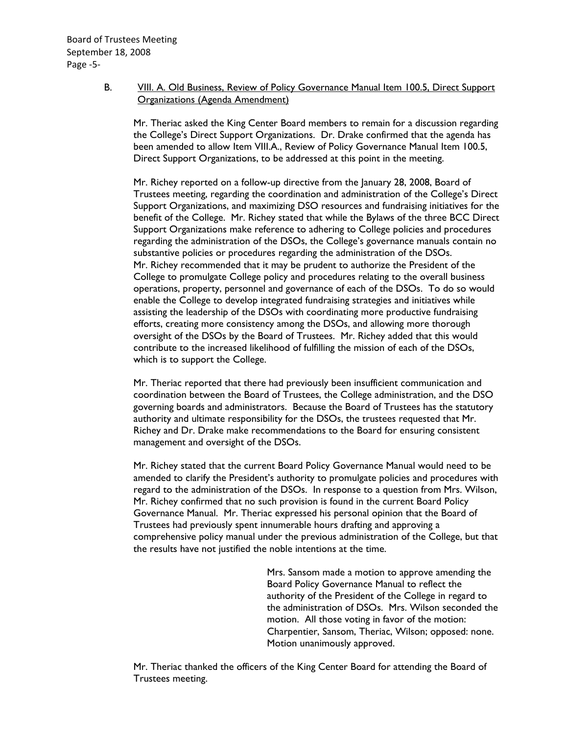## B. VIII. A. Old Business, Review of Policy Governance Manual Item 100.5, Direct Support Organizations (Agenda Amendment)

Mr. Theriac asked the King Center Board members to remain for a discussion regarding the College's Direct Support Organizations. Dr. Drake confirmed that the agenda has been amended to allow Item VIII.A., Review of Policy Governance Manual Item 100.5, Direct Support Organizations, to be addressed at this point in the meeting.

Mr. Richey reported on a follow-up directive from the January 28, 2008, Board of Trustees meeting, regarding the coordination and administration of the College's Direct Support Organizations, and maximizing DSO resources and fundraising initiatives for the benefit of the College. Mr. Richey stated that while the Bylaws of the three BCC Direct Support Organizations make reference to adhering to College policies and procedures regarding the administration of the DSOs, the College's governance manuals contain no substantive policies or procedures regarding the administration of the DSOs. Mr. Richey recommended that it may be prudent to authorize the President of the College to promulgate College policy and procedures relating to the overall business operations, property, personnel and governance of each of the DSOs. To do so would enable the College to develop integrated fundraising strategies and initiatives while assisting the leadership of the DSOs with coordinating more productive fundraising efforts, creating more consistency among the DSOs, and allowing more thorough oversight of the DSOs by the Board of Trustees. Mr. Richey added that this would contribute to the increased likelihood of fulfilling the mission of each of the DSOs, which is to support the College.

Mr. Theriac reported that there had previously been insufficient communication and coordination between the Board of Trustees, the College administration, and the DSO governing boards and administrators. Because the Board of Trustees has the statutory authority and ultimate responsibility for the DSOs, the trustees requested that Mr. Richey and Dr. Drake make recommendations to the Board for ensuring consistent management and oversight of the DSOs.

Mr. Richey stated that the current Board Policy Governance Manual would need to be amended to clarify the President's authority to promulgate policies and procedures with regard to the administration of the DSOs. In response to a question from Mrs. Wilson, Mr. Richey confirmed that no such provision is found in the current Board Policy Governance Manual. Mr. Theriac expressed his personal opinion that the Board of Trustees had previously spent innumerable hours drafting and approving a comprehensive policy manual under the previous administration of the College, but that the results have not justified the noble intentions at the time.

> Mrs. Sansom made a motion to approve amending the Board Policy Governance Manual to reflect the authority of the President of the College in regard to the administration of DSOs. Mrs. Wilson seconded the motion. All those voting in favor of the motion: Charpentier, Sansom, Theriac, Wilson; opposed: none. Motion unanimously approved.

Mr. Theriac thanked the officers of the King Center Board for attending the Board of Trustees meeting.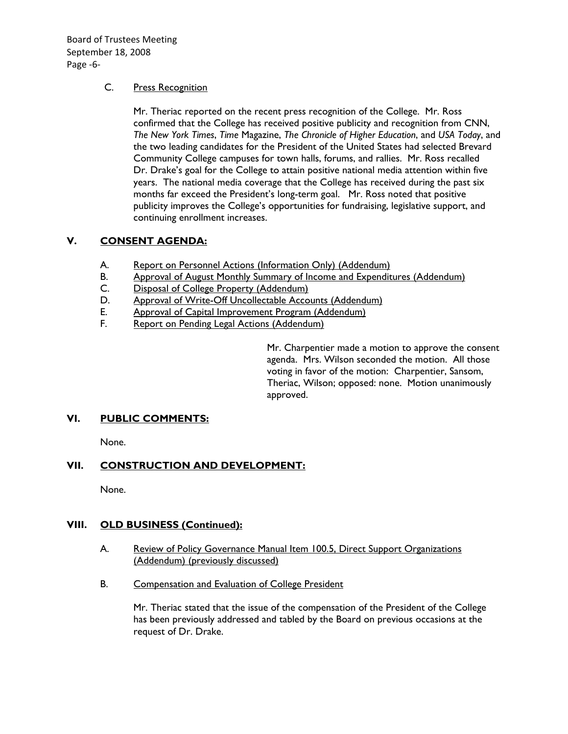Board of Trustees Meeting September 18, 2008 Page ‐6‐

## C. Press Recognition

Mr. Theriac reported on the recent press recognition of the College. Mr. Ross confirmed that the College has received positive publicity and recognition from CNN, *The New York Times*, *Time* Magazine, *The Chronicle of Higher Education*, and *USA Today*, and the two leading candidates for the President of the United States had selected Brevard Community College campuses for town halls, forums, and rallies. Mr. Ross recalled Dr. Drake's goal for the College to attain positive national media attention within five years. The national media coverage that the College has received during the past six months far exceed the President's long-term goal. Mr. Ross noted that positive publicity improves the College's opportunities for fundraising, legislative support, and continuing enrollment increases.

## **V. CONSENT AGENDA:**

- A. Report on Personnel Actions (Information Only) (Addendum)
- B. Approval of August Monthly Summary of Income and Expenditures (Addendum)
- C. Disposal of College Property (Addendum)
- D. Approval of Write-Off Uncollectable Accounts (Addendum)
- E. Approval of Capital Improvement Program (Addendum)
- F. Report on Pending Legal Actions (Addendum)

Mr. Charpentier made a motion to approve the consent agenda. Mrs. Wilson seconded the motion. All those voting in favor of the motion: Charpentier, Sansom, Theriac, Wilson; opposed: none. Motion unanimously approved.

## **VI. PUBLIC COMMENTS:**

None.

# **VII. CONSTRUCTION AND DEVELOPMENT:**

None.

## **VIII. OLD BUSINESS (Continued):**

- A. Review of Policy Governance Manual Item 100.5, Direct Support Organizations (Addendum) (previously discussed)
- B. Compensation and Evaluation of College President

Mr. Theriac stated that the issue of the compensation of the President of the College has been previously addressed and tabled by the Board on previous occasions at the request of Dr. Drake.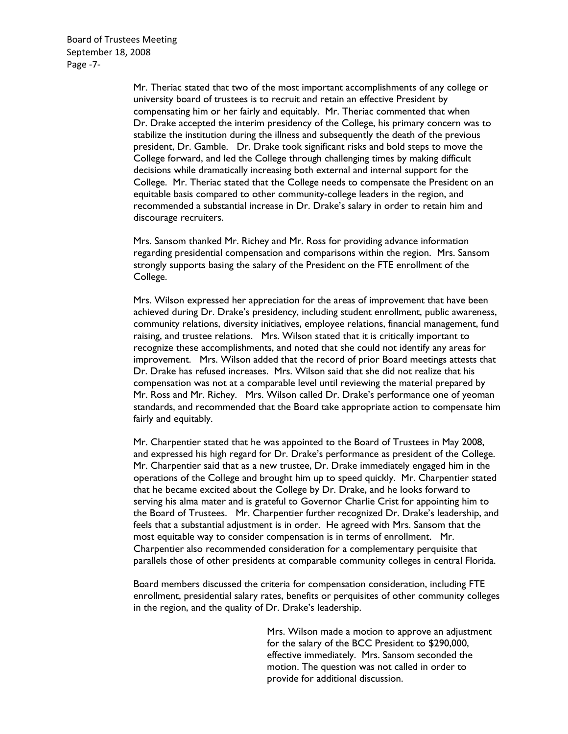Board of Trustees Meeting September 18, 2008 Page ‐7‐

> Mr. Theriac stated that two of the most important accomplishments of any college or university board of trustees is to recruit and retain an effective President by compensating him or her fairly and equitably. Mr. Theriac commented that when Dr. Drake accepted the interim presidency of the College, his primary concern was to stabilize the institution during the illness and subsequently the death of the previous president, Dr. Gamble. Dr. Drake took significant risks and bold steps to move the College forward, and led the College through challenging times by making difficult decisions while dramatically increasing both external and internal support for the College. Mr. Theriac stated that the College needs to compensate the President on an equitable basis compared to other community-college leaders in the region, and recommended a substantial increase in Dr. Drake's salary in order to retain him and discourage recruiters.

Mrs. Sansom thanked Mr. Richey and Mr. Ross for providing advance information regarding presidential compensation and comparisons within the region. Mrs. Sansom strongly supports basing the salary of the President on the FTE enrollment of the College.

Mrs. Wilson expressed her appreciation for the areas of improvement that have been achieved during Dr. Drake's presidency, including student enrollment, public awareness, community relations, diversity initiatives, employee relations, financial management, fund raising, and trustee relations. Mrs. Wilson stated that it is critically important to recognize these accomplishments, and noted that she could not identify any areas for improvement. Mrs. Wilson added that the record of prior Board meetings attests that Dr. Drake has refused increases. Mrs. Wilson said that she did not realize that his compensation was not at a comparable level until reviewing the material prepared by Mr. Ross and Mr. Richey. Mrs. Wilson called Dr. Drake's performance one of yeoman standards, and recommended that the Board take appropriate action to compensate him fairly and equitably.

Mr. Charpentier stated that he was appointed to the Board of Trustees in May 2008, and expressed his high regard for Dr. Drake's performance as president of the College. Mr. Charpentier said that as a new trustee, Dr. Drake immediately engaged him in the operations of the College and brought him up to speed quickly. Mr. Charpentier stated that he became excited about the College by Dr. Drake, and he looks forward to serving his alma mater and is grateful to Governor Charlie Crist for appointing him to the Board of Trustees. Mr. Charpentier further recognized Dr. Drake's leadership, and feels that a substantial adjustment is in order. He agreed with Mrs. Sansom that the most equitable way to consider compensation is in terms of enrollment. Mr. Charpentier also recommended consideration for a complementary perquisite that parallels those of other presidents at comparable community colleges in central Florida.

Board members discussed the criteria for compensation consideration, including FTE enrollment, presidential salary rates, benefits or perquisites of other community colleges in the region, and the quality of Dr. Drake's leadership.

> Mrs. Wilson made a motion to approve an adjustment for the salary of the BCC President to \$290,000, effective immediately. Mrs. Sansom seconded the motion. The question was not called in order to provide for additional discussion.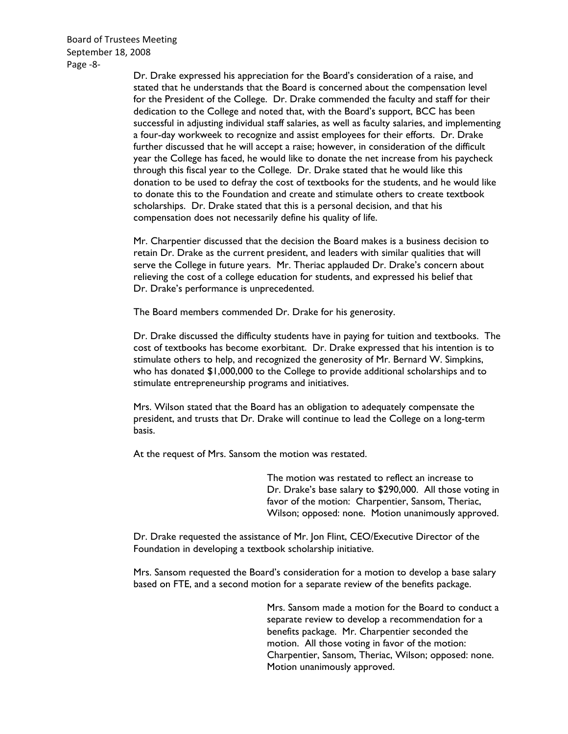Board of Trustees Meeting September 18, 2008 Page ‐8‐

> Dr. Drake expressed his appreciation for the Board's consideration of a raise, and stated that he understands that the Board is concerned about the compensation level for the President of the College. Dr. Drake commended the faculty and staff for their dedication to the College and noted that, with the Board's support, BCC has been successful in adjusting individual staff salaries, as well as faculty salaries, and implementing a four-day workweek to recognize and assist employees for their efforts. Dr. Drake further discussed that he will accept a raise; however, in consideration of the difficult year the College has faced, he would like to donate the net increase from his paycheck through this fiscal year to the College. Dr. Drake stated that he would like this donation to be used to defray the cost of textbooks for the students, and he would like to donate this to the Foundation and create and stimulate others to create textbook scholarships. Dr. Drake stated that this is a personal decision, and that his compensation does not necessarily define his quality of life.

Mr. Charpentier discussed that the decision the Board makes is a business decision to retain Dr. Drake as the current president, and leaders with similar qualities that will serve the College in future years. Mr. Theriac applauded Dr. Drake's concern about relieving the cost of a college education for students, and expressed his belief that Dr. Drake's performance is unprecedented.

The Board members commended Dr. Drake for his generosity.

Dr. Drake discussed the difficulty students have in paying for tuition and textbooks. The cost of textbooks has become exorbitant. Dr. Drake expressed that his intention is to stimulate others to help, and recognized the generosity of Mr. Bernard W. Simpkins, who has donated \$1,000,000 to the College to provide additional scholarships and to stimulate entrepreneurship programs and initiatives.

Mrs. Wilson stated that the Board has an obligation to adequately compensate the president, and trusts that Dr. Drake will continue to lead the College on a long-term basis.

At the request of Mrs. Sansom the motion was restated.

The motion was restated to reflect an increase to Dr. Drake's base salary to \$290,000. All those voting in favor of the motion: Charpentier, Sansom, Theriac, Wilson; opposed: none. Motion unanimously approved.

Dr. Drake requested the assistance of Mr. Jon Flint, CEO/Executive Director of the Foundation in developing a textbook scholarship initiative.

Mrs. Sansom requested the Board's consideration for a motion to develop a base salary based on FTE, and a second motion for a separate review of the benefits package.

> Mrs. Sansom made a motion for the Board to conduct a separate review to develop a recommendation for a benefits package. Mr. Charpentier seconded the motion. All those voting in favor of the motion: Charpentier, Sansom, Theriac, Wilson; opposed: none. Motion unanimously approved.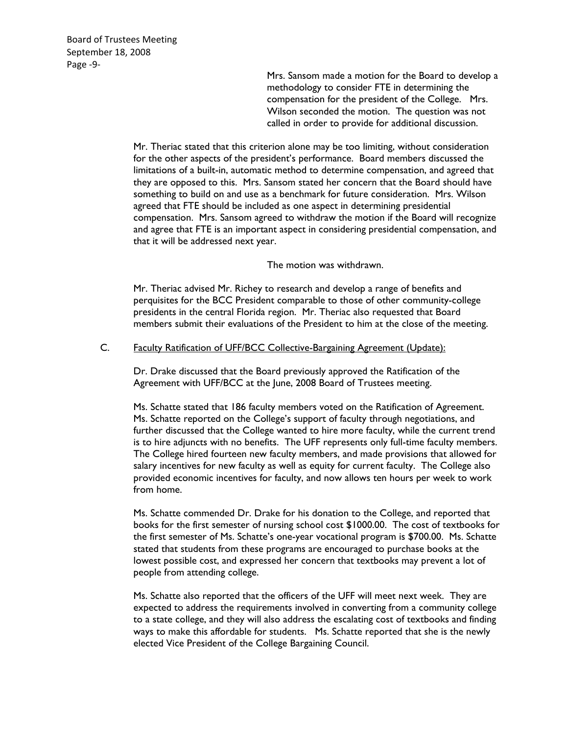Board of Trustees Meeting September 18, 2008 Page ‐9‐

> Mrs. Sansom made a motion for the Board to develop a methodology to consider FTE in determining the compensation for the president of the College. Mrs. Wilson seconded the motion. The question was not called in order to provide for additional discussion.

Mr. Theriac stated that this criterion alone may be too limiting, without consideration for the other aspects of the president's performance. Board members discussed the limitations of a built-in, automatic method to determine compensation, and agreed that they are opposed to this. Mrs. Sansom stated her concern that the Board should have something to build on and use as a benchmark for future consideration. Mrs. Wilson agreed that FTE should be included as one aspect in determining presidential compensation. Mrs. Sansom agreed to withdraw the motion if the Board will recognize and agree that FTE is an important aspect in considering presidential compensation, and that it will be addressed next year.

The motion was withdrawn.

Mr. Theriac advised Mr. Richey to research and develop a range of benefits and perquisites for the BCC President comparable to those of other community-college presidents in the central Florida region. Mr. Theriac also requested that Board members submit their evaluations of the President to him at the close of the meeting.

### C. Faculty Ratification of UFF/BCC Collective-Bargaining Agreement (Update):

Dr. Drake discussed that the Board previously approved the Ratification of the Agreement with UFF/BCC at the June, 2008 Board of Trustees meeting.

Ms. Schatte stated that 186 faculty members voted on the Ratification of Agreement. Ms. Schatte reported on the College's support of faculty through negotiations, and further discussed that the College wanted to hire more faculty, while the current trend is to hire adjuncts with no benefits. The UFF represents only full-time faculty members. The College hired fourteen new faculty members, and made provisions that allowed for salary incentives for new faculty as well as equity for current faculty. The College also provided economic incentives for faculty, and now allows ten hours per week to work from home.

Ms. Schatte commended Dr. Drake for his donation to the College, and reported that books for the first semester of nursing school cost \$1000.00. The cost of textbooks for the first semester of Ms. Schatte's one-year vocational program is \$700.00. Ms. Schatte stated that students from these programs are encouraged to purchase books at the lowest possible cost, and expressed her concern that textbooks may prevent a lot of people from attending college.

Ms. Schatte also reported that the officers of the UFF will meet next week. They are expected to address the requirements involved in converting from a community college to a state college, and they will also address the escalating cost of textbooks and finding ways to make this affordable for students. Ms. Schatte reported that she is the newly elected Vice President of the College Bargaining Council.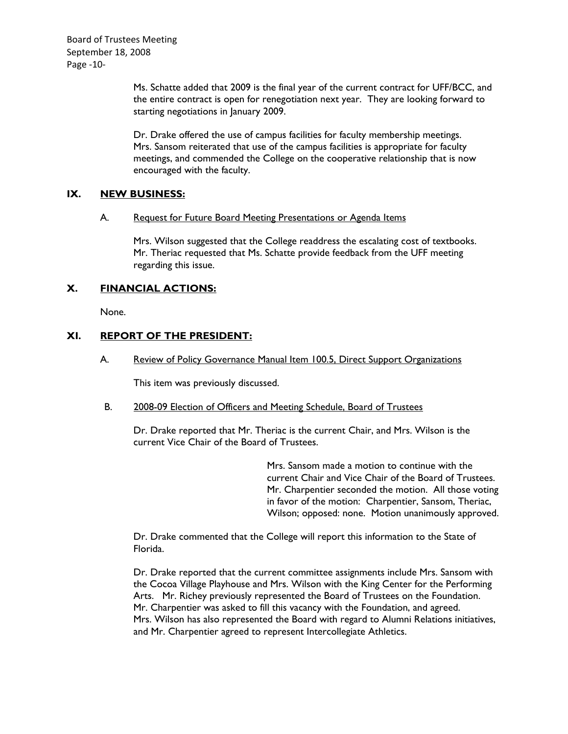Board of Trustees Meeting September 18, 2008 Page ‐10‐

> Ms. Schatte added that 2009 is the final year of the current contract for UFF/BCC, and the entire contract is open for renegotiation next year. They are looking forward to starting negotiations in January 2009.

Dr. Drake offered the use of campus facilities for faculty membership meetings. Mrs. Sansom reiterated that use of the campus facilities is appropriate for faculty meetings, and commended the College on the cooperative relationship that is now encouraged with the faculty.

## **IX. NEW BUSINESS:**

#### A. Request for Future Board Meeting Presentations or Agenda Items

Mrs. Wilson suggested that the College readdress the escalating cost of textbooks. Mr. Theriac requested that Ms. Schatte provide feedback from the UFF meeting regarding this issue.

## **X. FINANCIAL ACTIONS:**

None.

## **XI. REPORT OF THE PRESIDENT:**

A. Review of Policy Governance Manual Item 100.5, Direct Support Organizations

This item was previously discussed.

B. 2008-09 Election of Officers and Meeting Schedule, Board of Trustees

Dr. Drake reported that Mr. Theriac is the current Chair, and Mrs. Wilson is the current Vice Chair of the Board of Trustees.

> Mrs. Sansom made a motion to continue with the current Chair and Vice Chair of the Board of Trustees. Mr. Charpentier seconded the motion. All those voting in favor of the motion: Charpentier, Sansom, Theriac, Wilson; opposed: none. Motion unanimously approved.

Dr. Drake commented that the College will report this information to the State of Florida.

Dr. Drake reported that the current committee assignments include Mrs. Sansom with the Cocoa Village Playhouse and Mrs. Wilson with the King Center for the Performing Arts. Mr. Richey previously represented the Board of Trustees on the Foundation. Mr. Charpentier was asked to fill this vacancy with the Foundation, and agreed. Mrs. Wilson has also represented the Board with regard to Alumni Relations initiatives, and Mr. Charpentier agreed to represent Intercollegiate Athletics.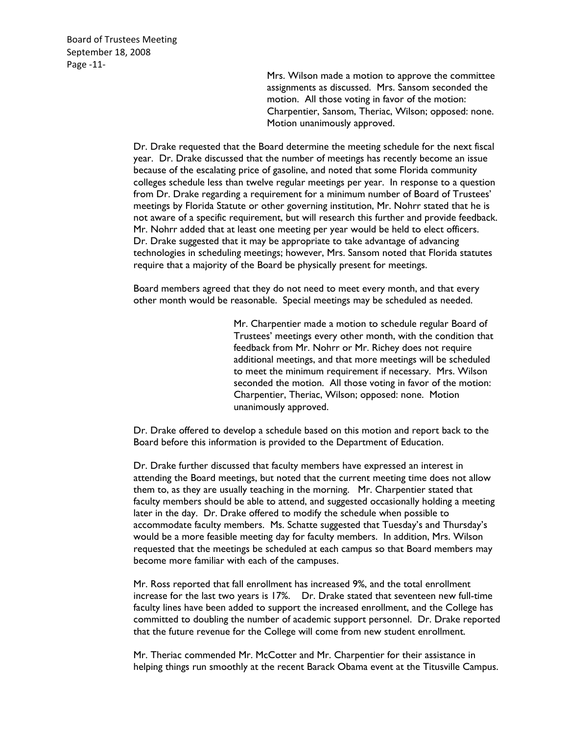Board of Trustees Meeting September 18, 2008 Page ‐11‐

> Mrs. Wilson made a motion to approve the committee assignments as discussed. Mrs. Sansom seconded the motion. All those voting in favor of the motion: Charpentier, Sansom, Theriac, Wilson; opposed: none. Motion unanimously approved.

Dr. Drake requested that the Board determine the meeting schedule for the next fiscal year. Dr. Drake discussed that the number of meetings has recently become an issue because of the escalating price of gasoline, and noted that some Florida community colleges schedule less than twelve regular meetings per year. In response to a question from Dr. Drake regarding a requirement for a minimum number of Board of Trustees' meetings by Florida Statute or other governing institution, Mr. Nohrr stated that he is not aware of a specific requirement, but will research this further and provide feedback. Mr. Nohrr added that at least one meeting per year would be held to elect officers. Dr. Drake suggested that it may be appropriate to take advantage of advancing technologies in scheduling meetings; however, Mrs. Sansom noted that Florida statutes require that a majority of the Board be physically present for meetings.

Board members agreed that they do not need to meet every month, and that every other month would be reasonable. Special meetings may be scheduled as needed.

> Mr. Charpentier made a motion to schedule regular Board of Trustees' meetings every other month, with the condition that feedback from Mr. Nohrr or Mr. Richey does not require additional meetings, and that more meetings will be scheduled to meet the minimum requirement if necessary. Mrs. Wilson seconded the motion. All those voting in favor of the motion: Charpentier, Theriac, Wilson; opposed: none. Motion unanimously approved.

Dr. Drake offered to develop a schedule based on this motion and report back to the Board before this information is provided to the Department of Education.

Dr. Drake further discussed that faculty members have expressed an interest in attending the Board meetings, but noted that the current meeting time does not allow them to, as they are usually teaching in the morning. Mr. Charpentier stated that faculty members should be able to attend, and suggested occasionally holding a meeting later in the day. Dr. Drake offered to modify the schedule when possible to accommodate faculty members. Ms. Schatte suggested that Tuesday's and Thursday's would be a more feasible meeting day for faculty members. In addition, Mrs. Wilson requested that the meetings be scheduled at each campus so that Board members may become more familiar with each of the campuses.

Mr. Ross reported that fall enrollment has increased 9%, and the total enrollment increase for the last two years is 17%. Dr. Drake stated that seventeen new full-time faculty lines have been added to support the increased enrollment, and the College has committed to doubling the number of academic support personnel. Dr. Drake reported that the future revenue for the College will come from new student enrollment.

Mr. Theriac commended Mr. McCotter and Mr. Charpentier for their assistance in helping things run smoothly at the recent Barack Obama event at the Titusville Campus.